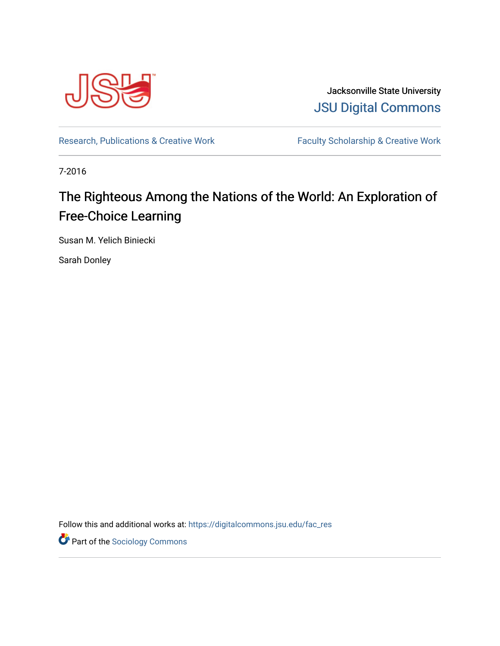

Jacksonville State University [JSU Digital Commons](https://digitalcommons.jsu.edu/) 

[Research, Publications & Creative Work](https://digitalcommons.jsu.edu/fac_res) Faculty Scholarship & Creative Work

7-2016

# The Righteous Among the Nations of the World: An Exploration of Free-Choice Learning

Susan M. Yelich Biniecki

Sarah Donley

Follow this and additional works at: [https://digitalcommons.jsu.edu/fac\\_res](https://digitalcommons.jsu.edu/fac_res?utm_source=digitalcommons.jsu.edu%2Ffac_res%2F38&utm_medium=PDF&utm_campaign=PDFCoverPages) 

**Part of the [Sociology Commons](http://network.bepress.com/hgg/discipline/416?utm_source=digitalcommons.jsu.edu%2Ffac_res%2F38&utm_medium=PDF&utm_campaign=PDFCoverPages)**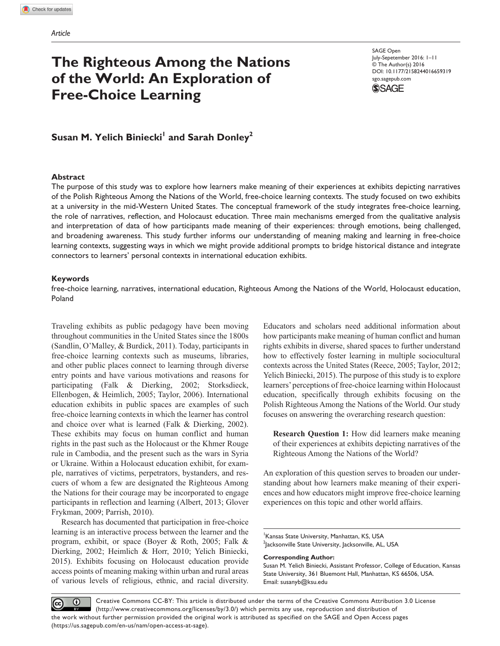# **The Righteous Among the Nations of the World: An Exploration of Free-Choice Learning**

SAGE Open July-Sepetember 2016: 1–11 © The Author(s) 2016 DOI: 10.1177/2158244016659319 sgo.sagepub.com



# ${\sf Susan\ }{\sf M}.$  Yelich Biniecki<sup>l</sup> and Sarah Donley<sup>2</sup>

#### **Abstract**

The purpose of this study was to explore how learners make meaning of their experiences at exhibits depicting narratives of the Polish Righteous Among the Nations of the World, free-choice learning contexts. The study focused on two exhibits at a university in the mid-Western United States. The conceptual framework of the study integrates free-choice learning, the role of narratives, reflection, and Holocaust education. Three main mechanisms emerged from the qualitative analysis and interpretation of data of how participants made meaning of their experiences: through emotions, being challenged, and broadening awareness. This study further informs our understanding of meaning making and learning in free-choice learning contexts, suggesting ways in which we might provide additional prompts to bridge historical distance and integrate connectors to learners' personal contexts in international education exhibits.

#### **Keywords**

free-choice learning, narratives, international education, Righteous Among the Nations of the World, Holocaust education, Poland

Traveling exhibits as public pedagogy have been moving throughout communities in the United States since the 1800s (Sandlin, O'Malley, & Burdick, 2011). Today, participants in free-choice learning contexts such as museums, libraries, and other public places connect to learning through diverse entry points and have various motivations and reasons for participating (Falk & Dierking, 2002; Storksdieck, Ellenbogen, & Heimlich, 2005; Taylor, 2006). International education exhibits in public spaces are examples of such free-choice learning contexts in which the learner has control and choice over what is learned (Falk & Dierking, 2002). These exhibits may focus on human conflict and human rights in the past such as the Holocaust or the Khmer Rouge rule in Cambodia, and the present such as the wars in Syria or Ukraine. Within a Holocaust education exhibit, for example, narratives of victims, perpetrators, bystanders, and rescuers of whom a few are designated the Righteous Among the Nations for their courage may be incorporated to engage participants in reflection and learning (Albert, 2013; Glover Frykman, 2009; Parrish, 2010).

Research has documented that participation in free-choice learning is an interactive process between the learner and the program, exhibit, or space (Boyer & Roth, 2005; Falk & Dierking, 2002; Heimlich & Horr, 2010; Yelich Biniecki, 2015). Exhibits focusing on Holocaust education provide access points of meaning making within urban and rural areas of various levels of religious, ethnic, and racial diversity.

Educators and scholars need additional information about how participants make meaning of human conflict and human rights exhibits in diverse, shared spaces to further understand how to effectively foster learning in multiple sociocultural contexts across the United States (Reece, 2005; Taylor, 2012; Yelich Biniecki, 2015). The purpose of this study is to explore learners' perceptions of free-choice learning within Holocaust education, specifically through exhibits focusing on the Polish Righteous Among the Nations of the World. Our study focuses on answering the overarching research question:

**Research Question 1:** How did learners make meaning of their experiences at exhibits depicting narratives of the Righteous Among the Nations of the World?

An exploration of this question serves to broaden our understanding about how learners make meaning of their experiences and how educators might improve free-choice learning experiences on this topic and other world affairs.

#### **Corresponding Author:**

Creative Commons CC-BY: This article is distributed under the terms of the Creative Commons Attribution 3.0 License  $\odot$ (cc) (http://www.creativecommons.org/licenses/by/3.0/) which permits any use, reproduction and distribution of the work without further permission provided the original work is attributed as specified on the SAGE and Open Access pages (https://us.sagepub.com/en-us/nam/open-access-at-sage).

<sup>1</sup> Kansas State University, Manhattan, KS, USA <sup>2</sup>Jacksonville State University, Jacksonville, AL, USA

Susan M. Yelich Biniecki, Assistant Professor, College of Education, Kansas State University, 361 Bluemont Hall, Manhattan, KS 66506, USA. Email: [susanyb@ksu.edu](mailto:susanyb@ksu.edu)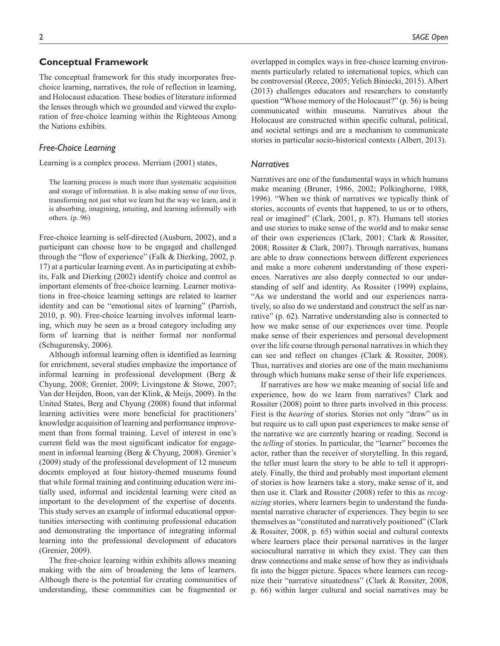## **Conceptual Framework**

The conceptual framework for this study incorporates freechoice learning, narratives, the role of reflection in learning, and Holocaust education. These bodies of literature informed the lenses through which we grounded and viewed the exploration of free-choice learning within the Righteous Among the Nations exhibits.

### *Free-Choice Learning*

Learning is a complex process. Merriam (2001) states,

The learning process is much more than systematic acquisition and storage of information. It is also making sense of our lives, transforming not just what we learn but the way we learn, and it is absorbing, imagining, intuiting, and learning informally with others. (p. 96)

Free-choice learning is self-directed (Ausburn, 2002), and a participant can choose how to be engaged and challenged through the "flow of experience" (Falk & Dierking, 2002, p. 17) at a particular learning event. As in participating at exhibits, Falk and Dierking (2002) identify choice and control as important elements of free-choice learning. Learner motivations in free-choice learning settings are related to learner identity and can be "emotional sites of learning" (Parrish, 2010, p. 90). Free-choice learning involves informal learning, which may be seen as a broad category including any form of learning that is neither formal nor nonformal (Schugurensky, 2006).

Although informal learning often is identified as learning for enrichment, several studies emphasize the importance of informal learning in professional development (Berg & Chyung, 2008; Grenier, 2009; Livingstone & Stowe, 2007; Van der Heijden, Boon, van der Klink, & Meijs, 2009). In the United States, Berg and Chyung (2008) found that informal learning activities were more beneficial for practitioners' knowledge acquisition of learning and performance improvement than from formal training. Level of interest in one's current field was the most significant indicator for engagement in informal learning (Berg & Chyung, 2008). Grenier's (2009) study of the professional development of 12 museum docents employed at four history-themed museums found that while formal training and continuing education were initially used, informal and incidental learning were cited as important to the development of the expertise of docents. This study serves an example of informal educational opportunities intersecting with continuing professional education and demonstrating the importance of integrating informal learning into the professional development of educators (Grenier, 2009).

The free-choice learning within exhibits allows meaning making with the aim of broadening the lens of learners. Although there is the potential for creating communities of understanding, these communities can be fragmented or

overlapped in complex ways in free-choice learning environments particularly related to international topics, which can be controversial (Reece, 2005; Yelich Biniecki, 2015). Albert (2013) challenges educators and researchers to constantly question "Whose memory of the Holocaust?" (p. 56) is being communicated within museums. Narratives about the Holocaust are constructed within specific cultural, political, and societal settings and are a mechanism to communicate stories in particular socio-historical contexts (Albert, 2013).

#### *Narratives*

Narratives are one of the fundamental ways in which humans make meaning (Bruner, 1986, 2002; Polkinghorne, 1988, 1996). "When we think of narratives we typically think of stories, accounts of events that happened, to us or to others, real or imagined" (Clark, 2001, p. 87). Humans tell stories and use stories to make sense of the world and to make sense of their own experiences (Clark, 2001; Clark & Rossiter, 2008; Rossiter & Clark, 2007). Through narratives, humans are able to draw connections between different experiences and make a more coherent understanding of those experiences. Narratives are also deeply connected to our understanding of self and identity. As Rossiter (1999) explains, "As we understand the world and our experiences narratively, so also do we understand and construct the self as narrative" (p. 62). Narrative understanding also is connected to how we make sense of our experiences over time. People make sense of their experiences and personal development over the life course through personal narratives in which they can see and reflect on changes (Clark & Rossiter, 2008). Thus, narratives and stories are one of the main mechanisms through which humans make sense of their life experiences.

If narratives are how we make meaning of social life and experience, how do we learn from narratives? Clark and Rossiter (2008) point to three parts involved in this process. First is the *hearing* of stories. Stories not only "draw" us in but require us to call upon past experiences to make sense of the narrative we are currently hearing or reading. Second is the *telling* of stories. In particular, the "learner" becomes the actor, rather than the receiver of storytelling. In this regard, the teller must learn the story to be able to tell it appropriately. Finally, the third and probably most important element of stories is how learners take a story, make sense of it, and then use it. Clark and Rossiter (2008) refer to this as *recognizing* stories, where learners begin to understand the fundamental narrative character of experiences. They begin to see themselves as "constituted and narratively positioned" (Clark & Rossiter, 2008, p. 65) within social and cultural contexts where learners place their personal narratives in the larger sociocultural narrative in which they exist. They can then draw connections and make sense of how they as individuals fit into the bigger picture. Spaces where learners can recognize their "narrative situatedness" (Clark & Rossiter, 2008, p. 66) within larger cultural and social narratives may be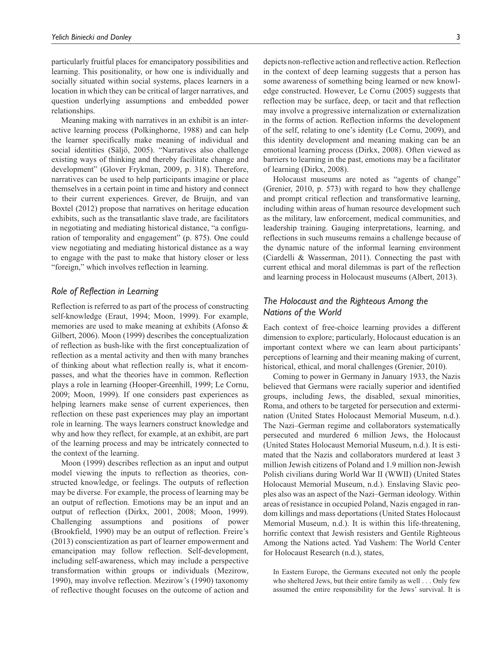particularly fruitful places for emancipatory possibilities and learning. This positionality, or how one is individually and socially situated within social systems, places learners in a location in which they can be critical of larger narratives, and question underlying assumptions and embedded power relationships.

Meaning making with narratives in an exhibit is an interactive learning process (Polkinghorne, 1988) and can help the learner specifically make meaning of individual and social identities (Säljö, 2005). "Narratives also challenge existing ways of thinking and thereby facilitate change and development" (Glover Frykman, 2009, p. 318). Therefore, narratives can be used to help participants imagine or place themselves in a certain point in time and history and connect to their current experiences. Grever, de Bruijn, and van Boxtel (2012) propose that narratives on heritage education exhibits, such as the transatlantic slave trade, are facilitators in negotiating and mediating historical distance, "a configuration of temporality and engagement" (p. 875). One could view negotiating and mediating historical distance as a way to engage with the past to make that history closer or less "foreign," which involves reflection in learning.

# *Role of Reflection in Learning*

Reflection is referred to as part of the process of constructing self-knowledge (Eraut, 1994; Moon, 1999). For example, memories are used to make meaning at exhibits (Afonso & Gilbert, 2006). Moon (1999) describes the conceptualization of reflection as bush-like with the first conceptualization of reflection as a mental activity and then with many branches of thinking about what reflection really is, what it encompasses, and what the theories have in common. Reflection plays a role in learning (Hooper-Greenhill, 1999; Le Cornu, 2009; Moon, 1999). If one considers past experiences as helping learners make sense of current experiences, then reflection on these past experiences may play an important role in learning. The ways learners construct knowledge and why and how they reflect, for example, at an exhibit, are part of the learning process and may be intricately connected to the context of the learning.

Moon (1999) describes reflection as an input and output model viewing the inputs to reflection as theories, constructed knowledge, or feelings. The outputs of reflection may be diverse. For example, the process of learning may be an output of reflection. Emotions may be an input and an output of reflection (Dirkx, 2001, 2008; Moon, 1999). Challenging assumptions and positions of power (Brookfield, 1990) may be an output of reflection. Freire's (2013) conscientization as part of learner empowerment and emancipation may follow reflection. Self-development, including self-awareness, which may include a perspective transformation within groups or individuals (Mezirow, 1990), may involve reflection. Mezirow's (1990) taxonomy of reflective thought focuses on the outcome of action and

depicts non-reflective action and reflective action. Reflection in the context of deep learning suggests that a person has some awareness of something being learned or new knowledge constructed. However, Le Cornu (2005) suggests that reflection may be surface, deep, or tacit and that reflection may involve a progressive internalization or externalization in the forms of action. Reflection informs the development of the self, relating to one's identity (Le Cornu, 2009), and this identity development and meaning making can be an emotional learning process (Dirkx, 2008). Often viewed as barriers to learning in the past, emotions may be a facilitator of learning (Dirkx, 2008).

Holocaust museums are noted as "agents of change" (Grenier, 2010, p. 573) with regard to how they challenge and prompt critical reflection and transformative learning, including within areas of human resource development such as the military, law enforcement, medical communities, and leadership training. Gauging interpretations, learning, and reflections in such museums remains a challenge because of the dynamic nature of the informal learning environment (Ciardelli & Wasserman, 2011). Connecting the past with current ethical and moral dilemmas is part of the reflection and learning process in Holocaust museums (Albert, 2013).

# *The Holocaust and the Righteous Among the Nations of the World*

Each context of free-choice learning provides a different dimension to explore; particularly, Holocaust education is an important context where we can learn about participants' perceptions of learning and their meaning making of current, historical, ethical, and moral challenges (Grenier, 2010).

Coming to power in Germany in January 1933, the Nazis believed that Germans were racially superior and identified groups, including Jews, the disabled, sexual minorities, Roma, and others to be targeted for persecution and extermination (United States Holocaust Memorial Museum, n.d.). The Nazi–German regime and collaborators systematically persecuted and murdered 6 million Jews, the Holocaust (United States Holocaust Memorial Museum, n.d.). It is estimated that the Nazis and collaborators murdered at least 3 million Jewish citizens of Poland and 1.9 million non-Jewish Polish civilians during World War II (WWII) (United States Holocaust Memorial Museum, n.d.). Enslaving Slavic peoples also was an aspect of the Nazi–German ideology. Within areas of resistance in occupied Poland, Nazis engaged in random killings and mass deportations (United States Holocaust Memorial Museum, n.d.). It is within this life-threatening, horrific context that Jewish resisters and Gentile Righteous Among the Nations acted. Yad Vashem: The World Center for Holocaust Research (n.d.), states,

In Eastern Europe, the Germans executed not only the people who sheltered Jews, but their entire family as well . . . Only few assumed the entire responsibility for the Jews' survival. It is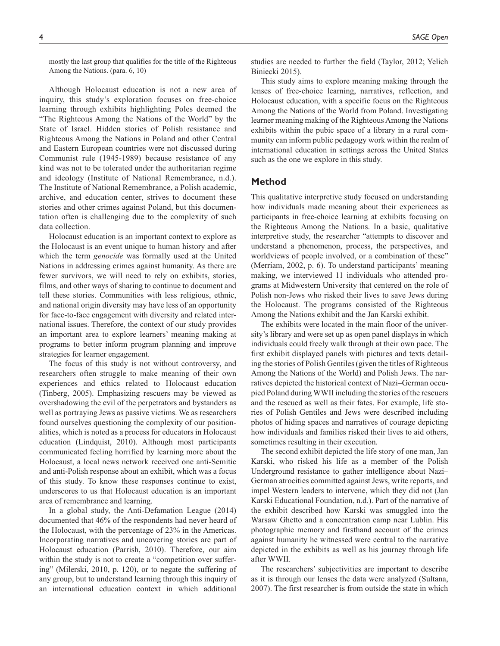Although Holocaust education is not a new area of inquiry, this study's exploration focuses on free-choice learning through exhibits highlighting Poles deemed the "The Righteous Among the Nations of the World" by the State of Israel. Hidden stories of Polish resistance and Righteous Among the Nations in Poland and other Central and Eastern European countries were not discussed during Communist rule (1945-1989) because resistance of any kind was not to be tolerated under the authoritarian regime and ideology (Institute of National Remembrance, n.d.). The Institute of National Remembrance, a Polish academic, archive, and education center, strives to document these stories and other crimes against Poland, but this documentation often is challenging due to the complexity of such data collection.

Holocaust education is an important context to explore as the Holocaust is an event unique to human history and after which the term *genocide* was formally used at the United Nations in addressing crimes against humanity. As there are fewer survivors, we will need to rely on exhibits, stories, films, and other ways of sharing to continue to document and tell these stories. Communities with less religious, ethnic, and national origin diversity may have less of an opportunity for face-to-face engagement with diversity and related international issues. Therefore, the context of our study provides an important area to explore learners' meaning making at programs to better inform program planning and improve strategies for learner engagement.

The focus of this study is not without controversy, and researchers often struggle to make meaning of their own experiences and ethics related to Holocaust education (Tinberg, 2005). Emphasizing rescuers may be viewed as overshadowing the evil of the perpetrators and bystanders as well as portraying Jews as passive victims. We as researchers found ourselves questioning the complexity of our positionalities, which is noted as a process for educators in Holocaust education (Lindquist, 2010). Although most participants communicated feeling horrified by learning more about the Holocaust, a local news network received one anti-Semitic and anti-Polish response about an exhibit, which was a focus of this study. To know these responses continue to exist, underscores to us that Holocaust education is an important area of remembrance and learning.

In a global study, the Anti-Defamation League (2014) documented that 46% of the respondents had never heard of the Holocaust, with the percentage of 23% in the Americas. Incorporating narratives and uncovering stories are part of Holocaust education (Parrish, 2010). Therefore, our aim within the study is not to create a "competition over suffering" (Milerski, 2010, p. 120), or to negate the suffering of any group, but to understand learning through this inquiry of an international education context in which additional

studies are needed to further the field (Taylor, 2012; Yelich Biniecki 2015).

This study aims to explore meaning making through the lenses of free-choice learning, narratives, reflection, and Holocaust education, with a specific focus on the Righteous Among the Nations of the World from Poland. Investigating learner meaning making of the Righteous Among the Nations exhibits within the pubic space of a library in a rural community can inform public pedagogy work within the realm of international education in settings across the United States such as the one we explore in this study.

### **Method**

This qualitative interpretive study focused on understanding how individuals made meaning about their experiences as participants in free-choice learning at exhibits focusing on the Righteous Among the Nations. In a basic, qualitative interpretive study, the researcher "attempts to discover and understand a phenomenon, process, the perspectives, and worldviews of people involved, or a combination of these" (Merriam, 2002, p. 6). To understand participants' meaning making, we interviewed 11 individuals who attended programs at Midwestern University that centered on the role of Polish non-Jews who risked their lives to save Jews during the Holocaust. The programs consisted of the Righteous Among the Nations exhibit and the Jan Karski exhibit.

The exhibits were located in the main floor of the university's library and were set up as open panel displays in which individuals could freely walk through at their own pace. The first exhibit displayed panels with pictures and texts detailing the stories of Polish Gentiles (given the titles of Righteous Among the Nations of the World) and Polish Jews. The narratives depicted the historical context of Nazi–German occupied Poland during WWII including the stories of the rescuers and the rescued as well as their fates. For example, life stories of Polish Gentiles and Jews were described including photos of hiding spaces and narratives of courage depicting how individuals and families risked their lives to aid others, sometimes resulting in their execution.

The second exhibit depicted the life story of one man, Jan Karski, who risked his life as a member of the Polish Underground resistance to gather intelligence about Nazi– German atrocities committed against Jews, write reports, and impel Western leaders to intervene, which they did not (Jan Karski Educational Foundation, n.d.). Part of the narrative of the exhibit described how Karski was smuggled into the Warsaw Ghetto and a concentration camp near Lublin. His photographic memory and firsthand account of the crimes against humanity he witnessed were central to the narrative depicted in the exhibits as well as his journey through life after WWII.

The researchers' subjectivities are important to describe as it is through our lenses the data were analyzed (Sultana, 2007). The first researcher is from outside the state in which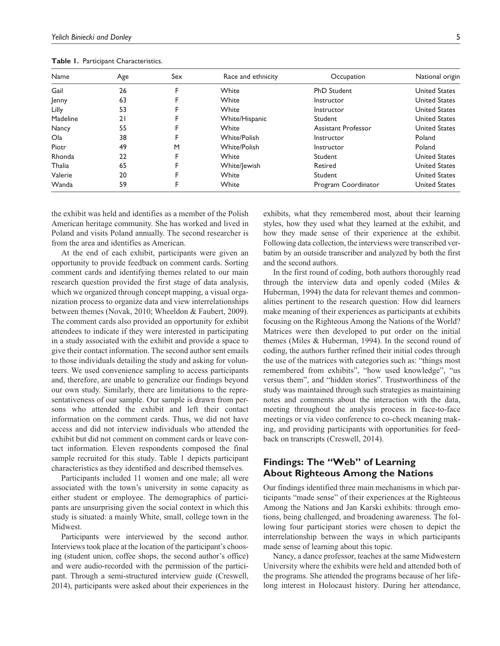| Name     | Age | Sex | Race and ethnicity  | Occupation          | National origin      |
|----------|-----|-----|---------------------|---------------------|----------------------|
| Gail     | 26  | F   | White               | <b>PhD Student</b>  | <b>United States</b> |
| Jenny    | 63  |     | White               | Instructor          | <b>United States</b> |
| Lilly    | 53  |     | White               | Instructor          | <b>United States</b> |
| Madeline | 21  | F   | White/Hispanic      | Student             | <b>United States</b> |
| Nancy    | 55  | ᄃ   | <b>White</b>        | Assistant Professor | <b>United States</b> |
| Ola      | 38  | F   | <b>White/Polish</b> | Instructor          | Poland               |
| Piotr    | 49  | M   | <b>White/Polish</b> | Instructor          | Poland               |
| Rhonda   | 22  | E   | White               | Student             | <b>United States</b> |
| Thalia   | 65  | F   | White/Jewish        | Retired             | <b>United States</b> |
| Valerie  | 20  | F   | White               | Student             | <b>United States</b> |
| Wanda    | 59  |     | White               | Program Coordinator | <b>United States</b> |

**Table 1.** Participant Characteristics.

the exhibit was held and identifies as a member of the Polish American heritage community. She has worked and lived in Poland and visits Poland annually. The second researcher is from the area and identifies as American.

At the end of each exhibit, participants were given an opportunity to provide feedback on comment cards. Sorting comment cards and identifying themes related to our main research question provided the first stage of data analysis, which we organized through concept mapping, a visual organization process to organize data and view interrelationships between themes (Novak, 2010; Wheeldon & Faubert, 2009). The comment cards also provided an opportunity for exhibit attendees to indicate if they were interested in participating in a study associated with the exhibit and provide a space to give their contact information. The second author sent emails to those individuals detailing the study and asking for volunteers. We used convenience sampling to access participants and, therefore, are unable to generalize our findings beyond our own study. Similarly, there are limitations to the representativeness of our sample. Our sample is drawn from persons who attended the exhibit and left their contact information on the comment cards. Thus, we did not have access and did not interview individuals who attended the exhibit but did not comment on comment cards or leave contact information. Eleven respondents composed the final sample recruited for this study. Table 1 depicts participant characteristics as they identified and described themselves.

Participants included 11 women and one male; all were associated with the town's university in some capacity as either student or employee. The demographics of participants are unsurprising given the social context in which this study is situated: a mainly White, small, college town in the Midwest.

Participants were interviewed by the second author. Interviews took place at the location of the participant's choosing (student union, coffee shops, the second author's office) and were audio-recorded with the permission of the participant. Through a semi-structured interview guide (Creswell, 2014), participants were asked about their experiences in the exhibits, what they remembered most, about their learning styles, how they used what they learned at the exhibit, and how they made sense of their experience at the exhibit. Following data collection, the interviews were transcribed verbatim by an outside transcriber and analyzed by both the first and the second authors.

In the first round of coding, both authors thoroughly read through the interview data and openly coded (Miles & Huberman, 1994) the data for relevant themes and commonalities pertinent to the research question: How did learners make meaning of their experiences as participants at exhibits focusing on the Righteous Among the Nations of the World? Matrices were then developed to put order on the initial themes (Miles & Huberman, 1994). In the second round of coding, the authors further refined their initial codes through the use of the matrices with categories such as: "things most remembered from exhibits", "how used knowledge", "us versus them", and "hidden stories". Trustworthiness of the study was maintained through such strategies as maintaining notes and comments about the interaction with the data, meeting throughout the analysis process in face-to-face meetings or via video conference to co-check meaning making, and providing participants with opportunities for feedback on transcripts (Creswell, 2014).

# **Findings: The "Web" of Learning About Righteous Among the Nations**

Our findings identified three main mechanisms in which participants "made sense" of their experiences at the Righteous Among the Nations and Jan Karski exhibits: through emotions, being challenged, and broadening awareness. The following four participant stories were chosen to depict the interrelationship between the ways in which participants made sense of learning about this topic.

Nancy, a dance professor, teaches at the same Midwestern University where the exhibits were held and attended both of the programs. She attended the programs because of her lifelong interest in Holocaust history. During her attendance,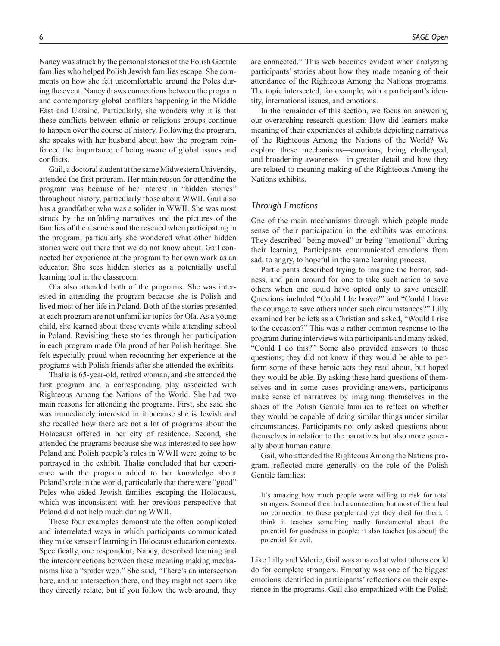Nancy was struck by the personal stories of the Polish Gentile families who helped Polish Jewish families escape. She comments on how she felt uncomfortable around the Poles during the event. Nancy draws connections between the program and contemporary global conflicts happening in the Middle East and Ukraine. Particularly, she wonders why it is that these conflicts between ethnic or religious groups continue to happen over the course of history. Following the program, she speaks with her husband about how the program reinforced the importance of being aware of global issues and conflicts.

Gail, a doctoral student at the same Midwestern University, attended the first program. Her main reason for attending the program was because of her interest in "hidden stories" throughout history, particularly those about WWII. Gail also has a grandfather who was a solider in WWII. She was most struck by the unfolding narratives and the pictures of the families of the rescuers and the rescued when participating in the program; particularly she wondered what other hidden stories were out there that we do not know about. Gail connected her experience at the program to her own work as an educator. She sees hidden stories as a potentially useful learning tool in the classroom.

Ola also attended both of the programs. She was interested in attending the program because she is Polish and lived most of her life in Poland. Both of the stories presented at each program are not unfamiliar topics for Ola. As a young child, she learned about these events while attending school in Poland. Revisiting these stories through her participation in each program made Ola proud of her Polish heritage. She felt especially proud when recounting her experience at the programs with Polish friends after she attended the exhibits.

Thalia is 65-year-old, retired woman, and she attended the first program and a corresponding play associated with Righteous Among the Nations of the World. She had two main reasons for attending the programs. First, she said she was immediately interested in it because she is Jewish and she recalled how there are not a lot of programs about the Holocaust offered in her city of residence. Second, she attended the programs because she was interested to see how Poland and Polish people's roles in WWII were going to be portrayed in the exhibit. Thalia concluded that her experience with the program added to her knowledge about Poland's role in the world, particularly that there were "good" Poles who aided Jewish families escaping the Holocaust, which was inconsistent with her previous perspective that Poland did not help much during WWII.

These four examples demonstrate the often complicated and interrelated ways in which participants communicated they make sense of learning in Holocaust education contexts. Specifically, one respondent, Nancy, described learning and the interconnections between these meaning making mechanisms like a "spider web." She said, "There's an intersection here, and an intersection there, and they might not seem like they directly relate, but if you follow the web around, they

are connected." This web becomes evident when analyzing participants' stories about how they made meaning of their attendance of the Righteous Among the Nations programs. The topic intersected, for example, with a participant's identity, international issues, and emotions.

In the remainder of this section, we focus on answering our overarching research question: How did learners make meaning of their experiences at exhibits depicting narratives of the Righteous Among the Nations of the World? We explore these mechanisms—emotions, being challenged, and broadening awareness—in greater detail and how they are related to meaning making of the Righteous Among the Nations exhibits.

## *Through Emotions*

One of the main mechanisms through which people made sense of their participation in the exhibits was emotions. They described "being moved" or being "emotional" during their learning. Participants communicated emotions from sad, to angry, to hopeful in the same learning process.

Participants described trying to imagine the horror, sadness, and pain around for one to take such action to save others when one could have opted only to save oneself. Questions included "Could I be brave?" and "Could I have the courage to save others under such circumstances?" Lilly examined her beliefs as a Christian and asked, "Would I rise to the occasion?" This was a rather common response to the program during interviews with participants and many asked, "Could I do this?" Some also provided answers to these questions; they did not know if they would be able to perform some of these heroic acts they read about, but hoped they would be able. By asking these hard questions of themselves and in some cases providing answers, participants make sense of narratives by imagining themselves in the shoes of the Polish Gentile families to reflect on whether they would be capable of doing similar things under similar circumstances. Participants not only asked questions about themselves in relation to the narratives but also more generally about human nature.

Gail, who attended the Righteous Among the Nations program, reflected more generally on the role of the Polish Gentile families:

It's amazing how much people were willing to risk for total strangers. Some of them had a connection, but most of them had no connection to these people and yet they died for them. I think it teaches something really fundamental about the potential for goodness in people; it also teaches [us about] the potential for evil.

Like Lilly and Valerie, Gail was amazed at what others could do for complete strangers. Empathy was one of the biggest emotions identified in participants' reflections on their experience in the programs. Gail also empathized with the Polish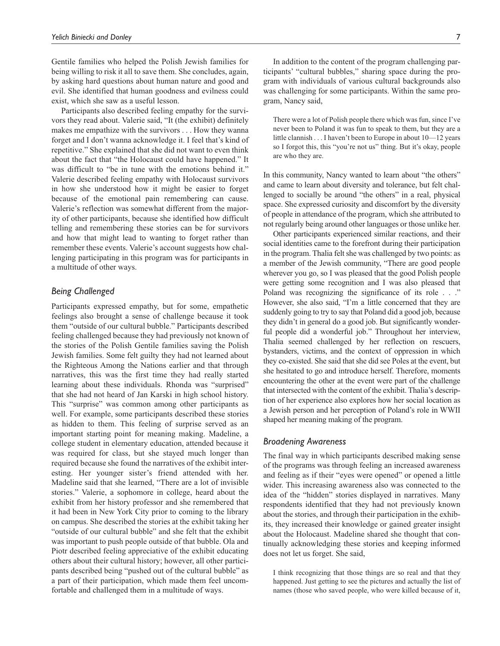Gentile families who helped the Polish Jewish families for being willing to risk it all to save them. She concludes, again, by asking hard questions about human nature and good and evil. She identified that human goodness and evilness could exist, which she saw as a useful lesson.

Participants also described feeling empathy for the survivors they read about. Valerie said, "It (the exhibit) definitely makes me empathize with the survivors . . . How they wanna forget and I don't wanna acknowledge it. I feel that's kind of repetitive." She explained that she did not want to even think about the fact that "the Holocaust could have happened." It was difficult to "be in tune with the emotions behind it." Valerie described feeling empathy with Holocaust survivors in how she understood how it might be easier to forget because of the emotional pain remembering can cause. Valerie's reflection was somewhat different from the majority of other participants, because she identified how difficult telling and remembering these stories can be for survivors and how that might lead to wanting to forget rather than remember these events. Valerie's account suggests how challenging participating in this program was for participants in a multitude of other ways.

# *Being Challenged*

Participants expressed empathy, but for some, empathetic feelings also brought a sense of challenge because it took them "outside of our cultural bubble." Participants described feeling challenged because they had previously not known of the stories of the Polish Gentile families saving the Polish Jewish families. Some felt guilty they had not learned about the Righteous Among the Nations earlier and that through narratives, this was the first time they had really started learning about these individuals. Rhonda was "surprised" that she had not heard of Jan Karski in high school history. This "surprise" was common among other participants as well. For example, some participants described these stories as hidden to them. This feeling of surprise served as an important starting point for meaning making. Madeline, a college student in elementary education, attended because it was required for class, but she stayed much longer than required because she found the narratives of the exhibit interesting. Her younger sister's friend attended with her. Madeline said that she learned, "There are a lot of invisible stories." Valerie, a sophomore in college, heard about the exhibit from her history professor and she remembered that it had been in New York City prior to coming to the library on campus. She described the stories at the exhibit taking her "outside of our cultural bubble" and she felt that the exhibit was important to push people outside of that bubble. Ola and Piotr described feeling appreciative of the exhibit educating others about their cultural history; however, all other participants described being "pushed out of the cultural bubble" as a part of their participation, which made them feel uncomfortable and challenged them in a multitude of ways.

In addition to the content of the program challenging participants' "cultural bubbles," sharing space during the program with individuals of various cultural backgrounds also was challenging for some participants. Within the same program, Nancy said,

There were a lot of Polish people there which was fun, since I've never been to Poland it was fun to speak to them, but they are a little clannish . . . I haven't been to Europe in about 10—12 years so I forgot this, this "you're not us" thing. But it's okay, people are who they are.

In this community, Nancy wanted to learn about "the others" and came to learn about diversity and tolerance, but felt challenged to socially be around "the others" in a real, physical space. She expressed curiosity and discomfort by the diversity of people in attendance of the program, which she attributed to not regularly being around other languages or those unlike her.

Other participants experienced similar reactions, and their social identities came to the forefront during their participation in the program. Thalia felt she was challenged by two points: as a member of the Jewish community, "There are good people wherever you go, so I was pleased that the good Polish people were getting some recognition and I was also pleased that Poland was recognizing the significance of its role . . ." However, she also said, "I'm a little concerned that they are suddenly going to try to say that Poland did a good job, because they didn't in general do a good job. But significantly wonderful people did a wonderful job." Throughout her interview, Thalia seemed challenged by her reflection on rescuers, bystanders, victims, and the context of oppression in which they co-existed. She said that she did see Poles at the event, but she hesitated to go and introduce herself. Therefore, moments encountering the other at the event were part of the challenge that intersected with the content of the exhibit. Thalia's description of her experience also explores how her social location as a Jewish person and her perception of Poland's role in WWII shaped her meaning making of the program.

### *Broadening Awareness*

The final way in which participants described making sense of the programs was through feeling an increased awareness and feeling as if their "eyes were opened" or opened a little wider. This increasing awareness also was connected to the idea of the "hidden" stories displayed in narratives. Many respondents identified that they had not previously known about the stories, and through their participation in the exhibits, they increased their knowledge or gained greater insight about the Holocaust. Madeline shared she thought that continually acknowledging these stories and keeping informed does not let us forget. She said,

I think recognizing that those things are so real and that they happened. Just getting to see the pictures and actually the list of names (those who saved people, who were killed because of it,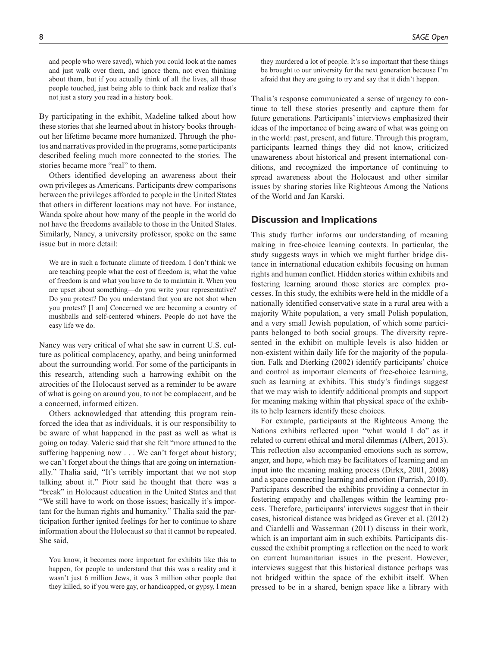and people who were saved), which you could look at the names and just walk over them, and ignore them, not even thinking about them, but if you actually think of all the lives, all those people touched, just being able to think back and realize that's not just a story you read in a history book.

By participating in the exhibit, Madeline talked about how these stories that she learned about in history books throughout her lifetime became more humanized. Through the photos and narratives provided in the programs, some participants described feeling much more connected to the stories. The stories became more "real" to them.

Others identified developing an awareness about their own privileges as Americans. Participants drew comparisons between the privileges afforded to people in the United States that others in different locations may not have. For instance, Wanda spoke about how many of the people in the world do not have the freedoms available to those in the United States. Similarly, Nancy, a university professor, spoke on the same issue but in more detail:

We are in such a fortunate climate of freedom. I don't think we are teaching people what the cost of freedom is; what the value of freedom is and what you have to do to maintain it. When you are upset about something—do you write your representative? Do you protest? Do you understand that you are not shot when you protest? [I am] Concerned we are becoming a country of mushballs and self-centered whiners. People do not have the easy life we do.

Nancy was very critical of what she saw in current U.S. culture as political complacency, apathy, and being uninformed about the surrounding world. For some of the participants in this research, attending such a harrowing exhibit on the atrocities of the Holocaust served as a reminder to be aware of what is going on around you, to not be complacent, and be a concerned, informed citizen.

Others acknowledged that attending this program reinforced the idea that as individuals, it is our responsibility to be aware of what happened in the past as well as what is going on today. Valerie said that she felt "more attuned to the suffering happening now . . . We can't forget about history; we can't forget about the things that are going on internationally." Thalia said, "It's terribly important that we not stop talking about it." Piotr said he thought that there was a "break" in Holocaust education in the United States and that "We still have to work on those issues; basically it's important for the human rights and humanity." Thalia said the participation further ignited feelings for her to continue to share information about the Holocaust so that it cannot be repeated. She said,

You know, it becomes more important for exhibits like this to happen, for people to understand that this was a reality and it wasn't just 6 million Jews, it was 3 million other people that they killed, so if you were gay, or handicapped, or gypsy, I mean they murdered a lot of people. It's so important that these things be brought to our university for the next generation because I'm afraid that they are going to try and say that it didn't happen.

Thalia's response communicated a sense of urgency to continue to tell these stories presently and capture them for future generations. Participants' interviews emphasized their ideas of the importance of being aware of what was going on in the world: past, present, and future. Through this program, participants learned things they did not know, criticized unawareness about historical and present international conditions, and recognized the importance of continuing to spread awareness about the Holocaust and other similar issues by sharing stories like Righteous Among the Nations of the World and Jan Karski.

# **Discussion and Implications**

This study further informs our understanding of meaning making in free-choice learning contexts. In particular, the study suggests ways in which we might further bridge distance in international education exhibits focusing on human rights and human conflict. Hidden stories within exhibits and fostering learning around those stories are complex processes. In this study, the exhibits were held in the middle of a nationally identified conservative state in a rural area with a majority White population, a very small Polish population, and a very small Jewish population, of which some participants belonged to both social groups. The diversity represented in the exhibit on multiple levels is also hidden or non-existent within daily life for the majority of the population. Falk and Dierking (2002) identify participants' choice and control as important elements of free-choice learning, such as learning at exhibits. This study's findings suggest that we may wish to identify additional prompts and support for meaning making within that physical space of the exhibits to help learners identify these choices.

For example, participants at the Righteous Among the Nations exhibits reflected upon "what would I do" as it related to current ethical and moral dilemmas (Albert, 2013). This reflection also accompanied emotions such as sorrow, anger, and hope, which may be facilitators of learning and an input into the meaning making process (Dirkx, 2001, 2008) and a space connecting learning and emotion (Parrish, 2010). Participants described the exhibits providing a connector in fostering empathy and challenges within the learning process. Therefore, participants' interviews suggest that in their cases, historical distance was bridged as Grever et al. (2012) and Ciardelli and Wasserman (2011) discuss in their work, which is an important aim in such exhibits. Participants discussed the exhibit prompting a reflection on the need to work on current humanitarian issues in the present. However, interviews suggest that this historical distance perhaps was not bridged within the space of the exhibit itself. When pressed to be in a shared, benign space like a library with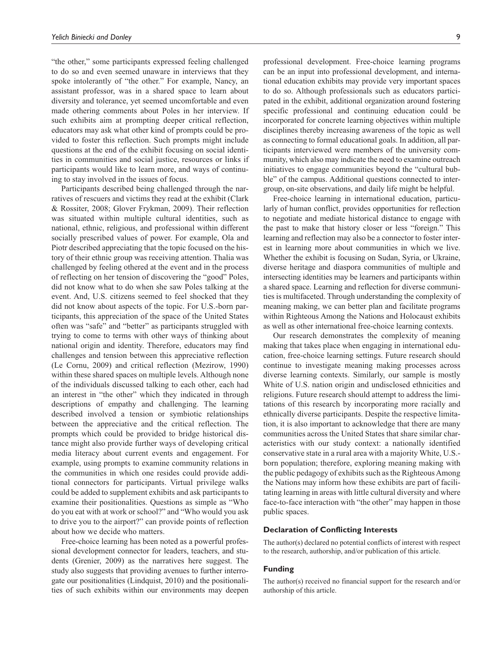"the other," some participants expressed feeling challenged to do so and even seemed unaware in interviews that they spoke intolerantly of "the other." For example, Nancy, an assistant professor, was in a shared space to learn about diversity and tolerance, yet seemed uncomfortable and even made othering comments about Poles in her interview. If such exhibits aim at prompting deeper critical reflection, educators may ask what other kind of prompts could be provided to foster this reflection. Such prompts might include questions at the end of the exhibit focusing on social identities in communities and social justice, resources or links if participants would like to learn more, and ways of continuing to stay involved in the issues of focus.

Participants described being challenged through the narratives of rescuers and victims they read at the exhibit (Clark & Rossiter, 2008; Glover Frykman, 2009). Their reflection was situated within multiple cultural identities, such as national, ethnic, religious, and professional within different socially prescribed values of power. For example, Ola and Piotr described appreciating that the topic focused on the history of their ethnic group was receiving attention. Thalia was challenged by feeling othered at the event and in the process of reflecting on her tension of discovering the "good" Poles, did not know what to do when she saw Poles talking at the event. And, U.S. citizens seemed to feel shocked that they did not know about aspects of the topic. For U.S.-born participants, this appreciation of the space of the United States often was "safe" and "better" as participants struggled with trying to come to terms with other ways of thinking about national origin and identity. Therefore, educators may find challenges and tension between this appreciative reflection (Le Cornu, 2009) and critical reflection (Mezirow, 1990) within these shared spaces on multiple levels. Although none of the individuals discussed talking to each other, each had an interest in "the other" which they indicated in through descriptions of empathy and challenging. The learning described involved a tension or symbiotic relationships between the appreciative and the critical reflection. The prompts which could be provided to bridge historical distance might also provide further ways of developing critical media literacy about current events and engagement. For example, using prompts to examine community relations in the communities in which one resides could provide additional connectors for participants. Virtual privilege walks could be added to supplement exhibits and ask participants to examine their positionalities. Questions as simple as "Who do you eat with at work or school?" and "Who would you ask to drive you to the airport?" can provide points of reflection about how we decide who matters.

Free-choice learning has been noted as a powerful professional development connector for leaders, teachers, and students (Grenier, 2009) as the narratives here suggest. The study also suggests that providing avenues to further interrogate our positionalities (Lindquist, 2010) and the positionalities of such exhibits within our environments may deepen professional development. Free-choice learning programs can be an input into professional development, and international education exhibits may provide very important spaces to do so. Although professionals such as educators participated in the exhibit, additional organization around fostering specific professional and continuing education could be incorporated for concrete learning objectives within multiple disciplines thereby increasing awareness of the topic as well as connecting to formal educational goals. In addition, all participants interviewed were members of the university community, which also may indicate the need to examine outreach initiatives to engage communities beyond the "cultural bubble" of the campus. Additional questions connected to intergroup, on-site observations, and daily life might be helpful.

Free-choice learning in international education, particularly of human conflict, provides opportunities for reflection to negotiate and mediate historical distance to engage with the past to make that history closer or less "foreign." This learning and reflection may also be a connector to foster interest in learning more about communities in which we live. Whether the exhibit is focusing on Sudan, Syria, or Ukraine, diverse heritage and diaspora communities of multiple and intersecting identities may be learners and participants within a shared space. Learning and reflection for diverse communities is multifaceted. Through understanding the complexity of meaning making, we can better plan and facilitate programs within Righteous Among the Nations and Holocaust exhibits as well as other international free-choice learning contexts.

Our research demonstrates the complexity of meaning making that takes place when engaging in international education, free-choice learning settings. Future research should continue to investigate meaning making processes across diverse learning contexts. Similarly, our sample is mostly White of U.S. nation origin and undisclosed ethnicities and religions. Future research should attempt to address the limitations of this research by incorporating more racially and ethnically diverse participants. Despite the respective limitation, it is also important to acknowledge that there are many communities across the United States that share similar characteristics with our study context: a nationally identified conservative state in a rural area with a majority White, U.S. born population; therefore, exploring meaning making with the public pedagogy of exhibits such as the Righteous Among the Nations may inform how these exhibits are part of facilitating learning in areas with little cultural diversity and where face-to-face interaction with "the other" may happen in those public spaces.

#### **Declaration of Conflicting Interests**

The author(s) declared no potential conflicts of interest with respect to the research, authorship, and/or publication of this article.

#### **Funding**

The author(s) received no financial support for the research and/or authorship of this article.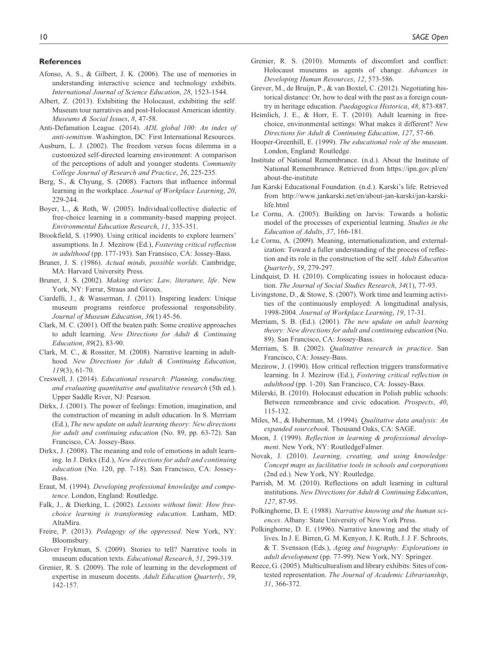#### **References**

- Afonso, A. S., & Gilbert, J. K. (2006). The use of memories in understanding interactive science and technology exhibits. *International Journal of Science Education*, *28*, 1523-1544.
- Albert, Z. (2013). Exhibiting the Holocaust, exhibiting the self: Museum tour narratives and post-Holocaust American identity. *Museums & Social Issues*, *8*, 47-58.
- Anti-Defamation League. (2014). *ADL global 100: An index of anti-semitism*. Washington, DC: First International Resources.
- Ausburn, L. J. (2002). The freedom versus focus dilemma in a customized self-directed learning environment: A comparison of the perceptions of adult and younger students. *Community College Journal of Research and Practice*, *26*, 225-235.
- Berg, S., & Chyung, S. (2008). Factors that influence informal learning in the workplace. *Journal of Workplace Learning*, *20*, 229-244.
- Boyer, L., & Roth, W. (2005). Individual/collective dialectic of free-choice learning in a community-based mapping project. *Environmental Education Research*, *11*, 335-351.
- Brookfield, S. (1990). Using critical incidents to explore learners' assumptions. In J. Mezirow (Ed.), *Fostering critical reflection in adulthood* (pp. 177-193). San Fransisco, CA: Jossey-Bass.
- Bruner, J. S. (1986). *Actual minds, possible worlds*. Cambridge, MA: Harvard University Press.
- Bruner, J. S. (2002). *Making stories: Law, literature, life*. New York, NY: Farrar, Straus and Giroux.
- Ciardelli, J., & Wasserman, J. (2011). Inspiring leaders: Unique museum programs reinforce professional responsibility. *Journal of Museum Education*, *36*(1) 45-56.
- Clark, M. C. (2001). Off the beaten path: Some creative approaches to adult learning. *New Directions for Adult & Continuing Education*, *89*(2), 83-90.
- Clark, M. C., & Rossiter, M. (2008). Narrative learning in adulthood. *New Directions for Adult & Continuing Education*, *119*(3), 61-70.
- Creswell, J. (2014). *Educational research: Planning, conducting, and evaluating quantitative and qualitative research* (5th ed.). Upper Saddle River, NJ: Pearson.
- Dirkx, J. (2001). The power of feelings: Emotion, imagination, and the construction of meaning in adult education. In S. Merriam (Ed.), *The new update on adult learning theory: New directions for adult and continuing education* (No. 89, pp. 63-72). San Francisco, CA: Jossey-Bass.
- Dirkx, J. (2008). The meaning and role of emotions in adult learning. In J. Dirkx (Ed.), *New directions for adult and continuing education* (No. 120, pp. 7-18). San Francisco, CA: Jossey-Bass.
- Eraut, M. (1994). *Developing professional knowledge and competence*. London, England: Routledge.
- Falk, J., & Dierking, L. (2002). *Lessons without limit: How freechoice learning is transforming education*. Lanham, MD: AltaMira.
- Freire, P. (2013). *Pedagogy of the oppressed*. New York, NY: Bloomsbury.
- Glover Frykman, S. (2009). Stories to tell? Narrative tools in museum education texts. *Educational Research*, *51*, 299-319.
- Grenier, R. S. (2009). The role of learning in the development of expertise in museum docents. *Adult Education Quarterly*, *59*, 142-157.
- Grenier, R. S. (2010). Moments of discomfort and conflict: Holocaust museums as agents of change. *Advances in Developing Human Resources*, *12*, 573-586.
- Grever, M., de Bruijn, P., & van Boxtel, C. (2012). Negotiating historical distance: Or, how to deal with the past as a foreign country in heritage education. *Paedagogica Historica*, *48*, 873-887.
- Heimlich, J. E., & Horr, E. T. (2010). Adult learning in freechoice, environmental settings: What makes it different? *New Directions for Adult & Continuing Education*, *127*, 57-66.
- Hooper-Greenhill, E. (1999). *The educational role of the museum*. London, England: Routledge.
- Institute of National Remembrance. (n.d.). About the Institute of National Remembrance. Retrieved from [https://ipn.gov.pl/en/](https://ipn.gov.pl/en/about-the-institute) [about-the-institute](https://ipn.gov.pl/en/about-the-institute)
- Jan Karski Educational Foundation. (n.d.). Karski's life. Retrieved from [http://www.jankarski.net/en/about-jan-karski/jan-karski](http://www.jankarski.net/en/about-jan-karski/jan-karski-life.html)[life.html](http://www.jankarski.net/en/about-jan-karski/jan-karski-life.html)
- Le Cornu, A. (2005). Building on Jarvis: Towards a holistic model of the processes of experiential learning. *Studies in the Education of Adults*, *37*, 166-181.
- Le Cornu, A. (2009). Meaning, internationalization, and externalization: Toward a fuller understanding of the process of reflection and its role in the construction of the self. *Adult Education Quarterly*, *59*, 279-297.
- Lindquist, D. H. (2010). Complicating issues in holocaust education. *The Journal of Social Studies Research*, *34*(1), 77-93.
- Livingstone, D., & Stowe, S. (2007). Work time and learning activities of the continuously employed: A longitudinal analysis, 1998-2004. *Journal of Workplace Learning*, *19*, 17-31.
- Merriam, S. B. (Ed.). (2001). *The new update on adult learning theory: New directions for adult and continuing education* (No. 89). San Francisco, CA: Jossey-Bass.
- Merriam, S. B. (2002). *Qualitative research in practice*. San Francisco, CA: Jossey-Bass.
- Mezirow, J. (1990). How critical reflection triggers transformative learning. In J. Mezirow (Ed.), *Fostering critical reflection in adulthood* (pp. 1-20). San Francisco, CA: Jossey-Bass.
- Milerski, B. (2010). Holocaust education in Polish public schools: Between remembrance and civic education. *Prospects*, *40*, 115-132.
- Miles, M., & Huberman, M. (1994). *Qualitative data analysis: An expanded sourcebook*. Thousand Oaks, CA: SAGE.
- Moon, J. (1999). *Reflection in learning & professional development*. New York, NY: RoutledgeFalmer.
- Novak, J. (2010). *Learning, creating, and using knowledge: Concept maps as facilitative tools in schools and corporations* (2nd ed.). New York, NY: Routledge.
- Parrish, M. M. (2010). Reflections on adult learning in cultural institutions. *New Directions for Adult & Continuing Education*, *127*, 87-95.
- Polkinghorne, D. E. (1988). *Narrative knowing and the human sciences*. Albany: State University of New York Press.
- Polkinghorne, D. E. (1996). Narrative knowing and the study of lives. In J. E. Birren, G. M. Kenyon, J. K. Ruth, J. J. F. Schroots, & T. Svensson (Eds.), *Aging and biography: Explorations in adult development* (pp. 77-99). New York, NY: Springer.
- Reece, G. (2005). Multiculturalism and library exhibits: Sites of contested representation. *The Journal of Academic Librarianship*, *31*, 366-372.